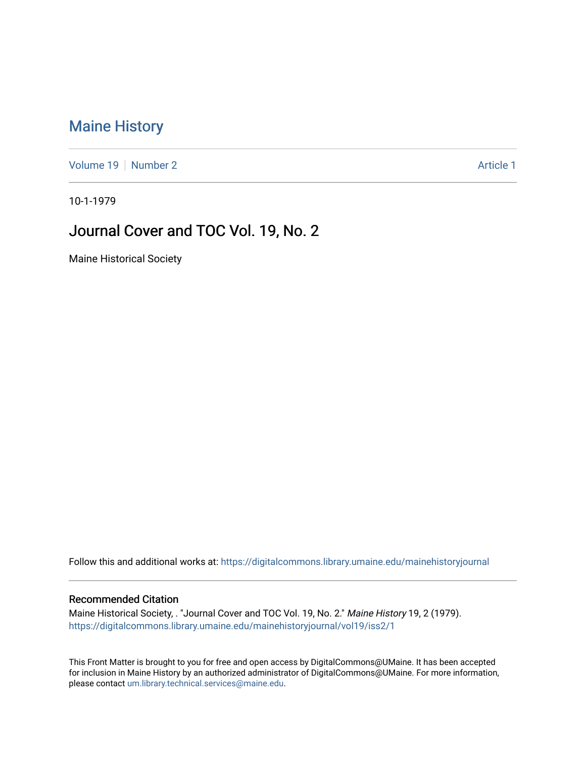## [Maine History](https://digitalcommons.library.umaine.edu/mainehistoryjournal)

[Volume 19](https://digitalcommons.library.umaine.edu/mainehistoryjournal/vol19) [Number 2](https://digitalcommons.library.umaine.edu/mainehistoryjournal/vol19/iss2) Article 1

10-1-1979

### Journal Cover and TOC Vol. 19, No. 2

Maine Historical Society

Follow this and additional works at: [https://digitalcommons.library.umaine.edu/mainehistoryjournal](https://digitalcommons.library.umaine.edu/mainehistoryjournal?utm_source=digitalcommons.library.umaine.edu%2Fmainehistoryjournal%2Fvol19%2Fiss2%2F1&utm_medium=PDF&utm_campaign=PDFCoverPages) 

#### Recommended Citation

Maine Historical Society, . "Journal Cover and TOC Vol. 19, No. 2." Maine History 19, 2 (1979). [https://digitalcommons.library.umaine.edu/mainehistoryjournal/vol19/iss2/1](https://digitalcommons.library.umaine.edu/mainehistoryjournal/vol19/iss2/1?utm_source=digitalcommons.library.umaine.edu%2Fmainehistoryjournal%2Fvol19%2Fiss2%2F1&utm_medium=PDF&utm_campaign=PDFCoverPages)

This Front Matter is brought to you for free and open access by DigitalCommons@UMaine. It has been accepted for inclusion in Maine History by an authorized administrator of DigitalCommons@UMaine. For more information, please contact [um.library.technical.services@maine.edu.](mailto:um.library.technical.services@maine.edu)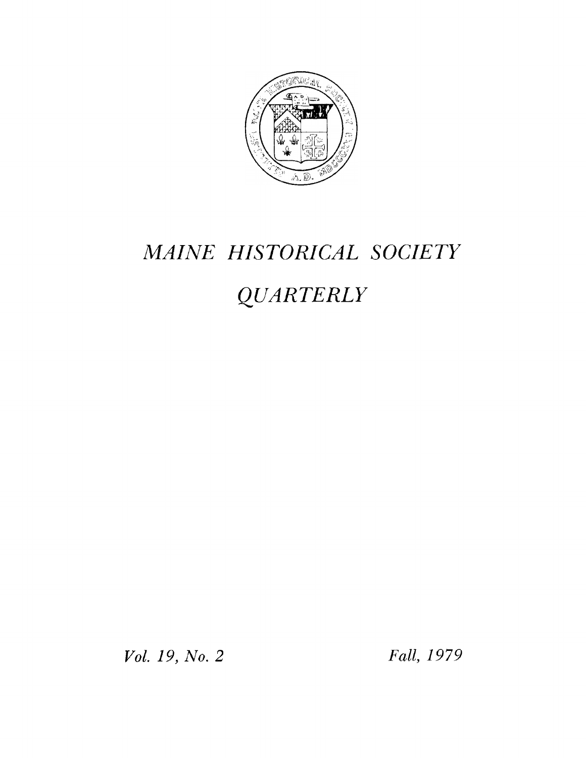

# *MAINE HISTORICAL SOCIETY*

# *QUARTERLY*

*Vol. 19, No. 2 Fall, 1979*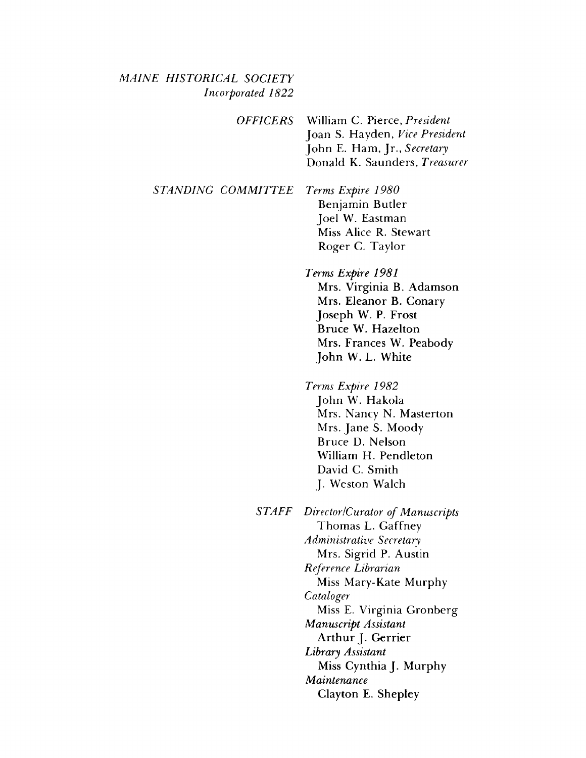#### *MAINE HISTORICAL SOCIETY Incorporated 1822*

*OFFICERS* William C. Pierce, *President* Joan S. Hayden, *Vice President* John E. Ham, Jr., *Secretary* Donald K. Saunders, *Treasurer*

*STANDING COMMITTEE Terms Expire 1980* Benjamin Butler Joel W. Eastman Miss Alice R. Stewart

Roger C. Taylor

*Terms Expire 1981* Mrs. Virginia B. Adamson Mrs. Eleanor B. Conary Joseph W. P. Frost Bruce W. Hazelton Mrs. Frances W. Peabody John W. L. White

*Terms Expire 1982* John W. Hakola Mrs. Nancy N. Masterton Mrs. Jane S. Moody Bruce D. Nelson William H. Pendleton David C. Smith J. Weston Walch

*STAFF Director /Curator of Manuscripts* Thomas L. Gaffney *Administrative Secretary* Mrs. Sigrid P. Austin *Reference Librarian* Miss Mary-Kate Murphy *Cataloger* Miss E. Virginia Gronberg *Manuscript Assistant* Arthur J. Gerrier *Library Assistant* Miss Cynthia J. Murphy *Maintenance* Clayton E. Shepley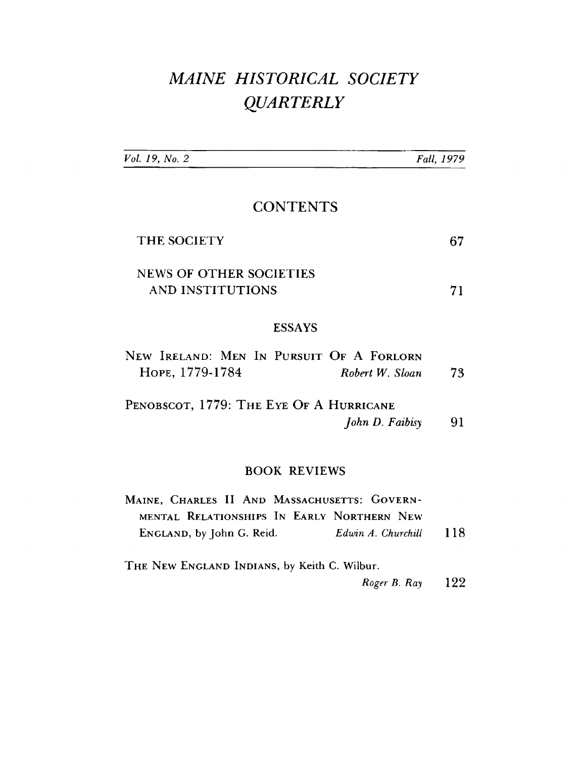# MAINE HISTORICAL SOCIETY **QUARTERLY**

| Vol. 19, No. 2                                                                             | Fall, 1979 |
|--------------------------------------------------------------------------------------------|------------|
| <b>CONTENTS</b>                                                                            |            |
| THE SOCIETY                                                                                | 67         |
| <b>NEWS OF OTHER SOCIETIES</b>                                                             |            |
| <b>AND INSTITUTIONS</b>                                                                    | 71         |
| <b>ESSAYS</b>                                                                              |            |
| NEW IRELAND: MEN IN PURSUIT OF A FORLORN<br>HOPE, 1779-1784<br>Robert W. Sloan             | 73         |
| PENOBSCOT, 1779: THE EYE OF A HURRICANE                                                    |            |
| John D. Faibisy                                                                            | 91         |
| <b>BOOK REVIEWS</b>                                                                        |            |
| MAINE, CHARLES II AND MASSACHUSETTS: GOVERN-<br>MENTAL RELATIONSHIPS IN EARLY NORTHERN NEW |            |
| ENGLAND, by John G. Reid.<br>Edwin A. Churchill                                            | 118        |
| THE NEW ENGLAND INDIANS, by Keith C. Wilbur.                                               |            |

Roger B. Ray 122